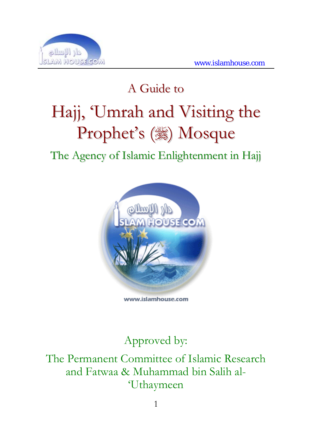

# A Guide to Hajj, 'Umrah and Visiting the Prophet's (3) Mosque

### The Agency of Islamic Enlightenment in Hajj



www.islamhouse.com

### Approved by:

The Permanent Committee of Islamic Research and Fatwaa & Muhammad bin Salih al- 'Uthaymeen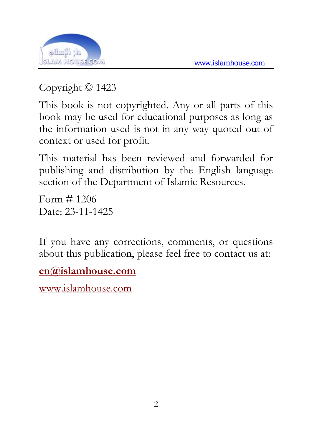

Copyright © 1423

This book is not copyrighted. Any or all parts of this book may be used for educational purposes as long as the information used is not in any way quoted out of context or used for profit.

This material has been reviewed and forwarded for publishing and distribution by the English language section of the Department of Islamic Resources.

Form  $\#$  1206 Date: 23-11-1425

If you have any corrections, comments, or questions about this publication, please feel free to contact us at:

**[en@islamhouse.com](mailto:en@islamhouse.com?subject=comments%20on%20%22en1206%22)**

<www.islamhouse.com>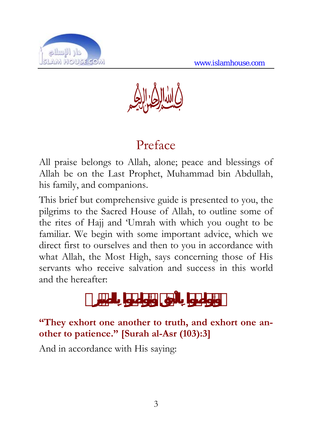

T

## Preface

All praise belongs to Allah, alone; peace and blessings of Allah be on the Last Prophet, Muhammad bin Abdullah, his family, and companions.

This brief but comprehensive guide is presented to you, the pilgrims to the Sacred House of Allah, to outline some of the rites of Hajj and 'Umrah with which you ought to be familiar. We begin with some important advice, which we direct first to ourselves and then to you in accordance with what Allah, the Most High, says concerning those of His servants who receive salvation and success in this world and the hereafter:

#### **"They exhort one another to truth, and exhort one another to patience." [Surah al-Asr (103):3]**

And in accordance with His saying: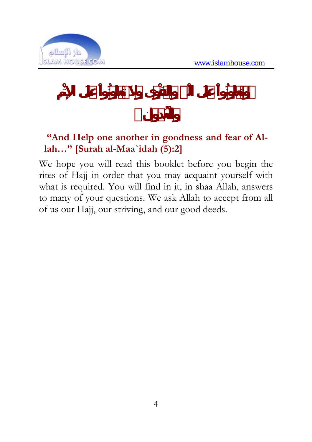

#### **"And Help one another in goodness and fear of Allah…" [Surah al-Maa`idah (5):2]**

We hope you will read this booklet before you begin the rites of Hajj in order that you may acquaint yourself with what is required. You will find in it, in shaa Allah, answers to many of your questions. We ask Allah to accept from all of us our Hajj, our striving, and our good deeds.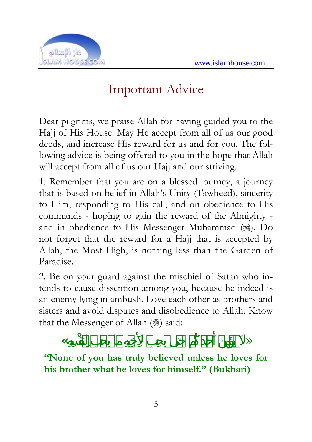

## Important Advice

Dear pilgrims, we praise Allah for having guided you to the Hajj of His House. May He accept from all of us our good deeds, and increase His reward for us and for you. The following advice is being offered to you in the hope that Allah will accept from all of us our Hajj and our striving.

1. Remember that you are on a blessed journey, a journey that is based on belief in Allah's Unity (Tawheed), sincerity to Him, responding to His call, and on obedience to His commands - hoping to gain the reward of the Almighty and in obedience to His Messenger Muhammad (). Do not forget that the reward for a Hajj that is accepted by Allah, the Most High, is nothing less than the Garden of Paradise.

2. Be on your guard against the mischief of Satan who intends to cause dissention among you, because he indeed is an enemy lying in ambush. Love each other as brothers and sisters and avoid disputes and disobedience to Allah. Know that the Messenger of Allah () said:

« كُد مهِ هِسِ »

**"None of you has truly believed unless he loves for his brother what he loves for himself." (Bukhari)**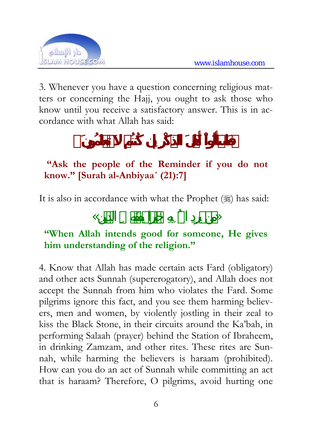

3. Whenever you have a question concerning religious matters or concerning the Hajj, you ought to ask those who know until you receive a satisfactory answer. This is in accordance with what Allah has said:

#### **"Ask the people of the Reminder if you do not know." [Surah al-Anbiyaa´ (21):7]**

It is also in accordance with what the Prophet (#) has said:

### $\langle \langle \rangle$

#### **"When Allah intends good for someone, He gives him understanding of the religion."**

4. Know that Allah has made certain acts Fard (obligatory) and other acts Sunnah (supererogatory), and Allah does not accept the Sunnah from him who violates the Fard. Some pilgrims ignore this fact, and you see them harming believers, men and women, by violently jostling in their zeal to kiss the Black Stone, in their circuits around the Ka'bah, in performing Salaah (prayer) behind the Station of Ibraheem, in drinking Zamzam, and other rites. These rites are Sunnah, while harming the believers is haraam (prohibited). How can you do an act of Sunnah while committing an act that is haraam? Therefore, O pilgrims, avoid hurting one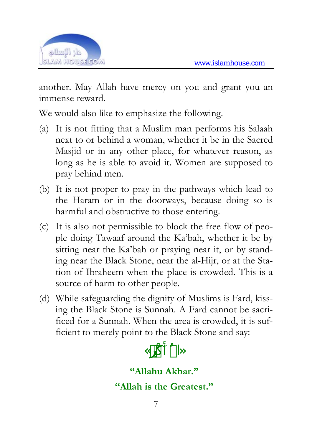

another. May Allah have mercy on you and grant you an immense reward.

We would also like to emphasize the following.

- (a) It is not fitting that a Muslim man performs his Salaah next to or behind a woman, whether it be in the Sacred Masjid or in any other place, for whatever reason, as long as he is able to avoid it. Women are supposed to pray behind men.
- (b) It is not proper to pray in the pathways which lead to the Haram or in the doorways, because doing so is harmful and obstructive to those entering.
- (c) It is also not permissible to block the free flow of people doing Tawaaf around the Ka'bah, whether it be by sitting near the Ka'bah or praying near it, or by standing near the Black Stone, near the al-Hijr, or at the Station of Ibraheem when the place is crowded. This is a source of harm to other people.
- (d) While safeguarding the dignity of Muslims is Fard, kissing the Black Stone is Sunnah. A Fard cannot be sacrificed for a Sunnah. When the area is crowded, it is sufficient to merely point to the Black Stone and say:

«االله »

**"Allahu Akbar." "Allah is the Greatest."**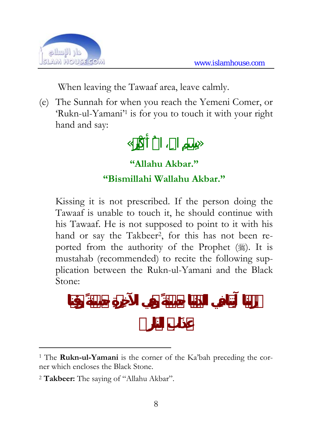

When leaving the Tawaaf area, leave calmly.

(e) The Sunnah for when you reach the Yemeni Comer, or 'Rukn-ul-Yamani'1 is for you to touch it with your right hand and say:

## $\ll$  »  $\gg$ **"Allahu Akbar." "Bismillahi Wallahu Akbar."**

Kissing it is not prescribed. If the person doing the Tawaaf is unable to touch it, he should continue with his Tawaaf. He is not supposed to point to it with his hand or say the Takbeer<sup>2</sup>, for this has not been reported from the authority of the Prophet  $(\frac{1}{2})$ . It is mustahab (recommended) to recite the following supplication between the Rukn-ul-Yamani and the Black Stone:

<sup>1</sup> The **Rukn-ul-Yamani** is the corner of the Ka'bah preceding the corner which encloses the Black Stone.

<sup>2</sup> **Takbeer:** The saying of "Allahu Akbar".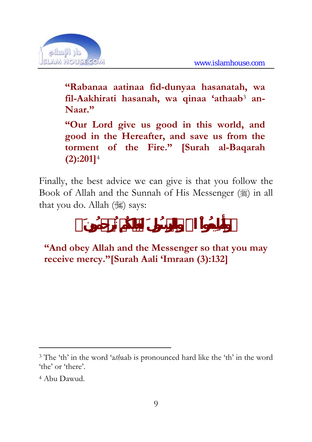

**"Rabanaa aatinaa fid-dunyaa hasanatah, wa fil-Aakhirati hasanah, wa qinaa 'athaab**3 **an-Naar."** 

**"Our Lord give us good in this world, and good in the Hereafter, and save us from the torment of the Fire." [Surah al-Baqarah (2):201]**<sup>4</sup>

Finally, the best advice we can give is that you follow the Book of Allah and the Sunnah of His Messenger (1) in all that you do. Allah  $(\mathcal{H})$  says:

**"And obey Allah and the Messenger so that you may receive mercy."[Surah Aali 'Imraan (3):132]** 

<sup>3</sup> The 'th' in the word 'a*th*aab is pronounced hard like the 'th' in the word 'the' or 'there'.

<sup>4</sup> Abu Dawud.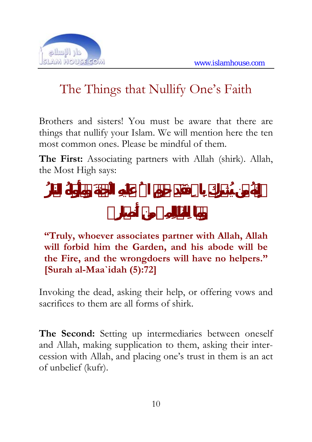

## The Things that Nullify One's Faith

Brothers and sisters! You must be aware that there are things that nullify your Islam. We will mention here the ten most common ones. Please be mindful of them.

**The First:** Associating partners with Allah (shirk). Allah, the Most High says:

**"Truly, whoever associates partner with Allah, Allah will forbid him the Garden, and his abode will be the Fire, and the wrongdoers will have no helpers." [Surah al-Maa`idah (5):72]** 

Invoking the dead, asking their help, or offering vows and sacrifices to them are all forms of shirk.

**The Second:** Setting up intermediaries between oneself and Allah, making supplication to them, asking their intercession with Allah, and placing one's trust in them is an act of unbelief (kufr).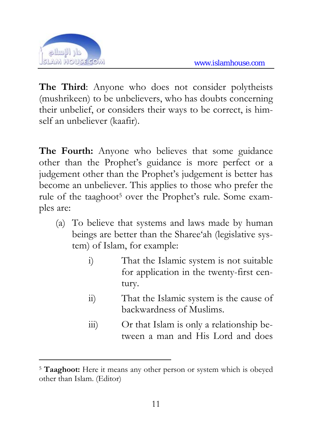

 $\overline{a}$ 

**The Third**: Anyone who does not consider polytheists (mushrikeen) to be unbelievers, who has doubts concerning their unbelief, or considers their ways to be correct, is himself an unbeliever (kaafir).

**The Fourth:** Anyone who believes that some guidance other than the Prophet's guidance is more perfect or a judgement other than the Prophet's judgement is better has become an unbeliever. This applies to those who prefer the rule of the taaghoot<sup>5</sup> over the Prophet's rule. Some examples are:

- (a) To believe that systems and laws made by human beings are better than the Sharee'ah (legislative system) of Islam, for example:
	- i) That the Islamic system is not suitable for application in the twenty-first century.
	- ii) That the Islamic system is the cause of backwardness of Muslims.
	- iii) Or that Islam is only a relationship between a man and His Lord and does

<sup>5</sup> **Taaghoot:** Here it means any other person or system which is obeyed other than Islam. (Editor)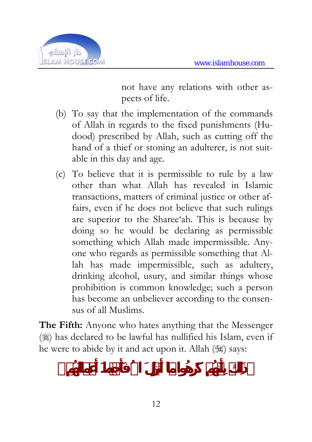

not have any relations with other aspects of life.

- (b) To say that the implementation of the commands of Allah in regards to the fixed punishments (Hudood) prescribed by Allah, such as cutting off the hand of a thief or stoning an adulterer, is not suitable in this day and age.
- (c) To believe that it is permissible to rule by a law other than what Allah has revealed in Islamic transactions, matters of criminal justice or other affairs, even if he does not believe that such rulings are superior to the Sharee'ah. This is because by doing so he would be declaring as permissible something which Allah made impermissible. Anyone who regards as permissible something that Allah has made impermissible, such as adultery, drinking alcohol, usury, and similar things whose prohibition is common knowledge; such a person has become an unbeliever according to the consensus of all Muslims.

**The Fifth:** Anyone who hates anything that the Messenger  $(\frac{1}{2})$  has declared to be lawful has nullified his Islam, even if he were to abide by it and act upon it. Allah ( $\gg$ ) says: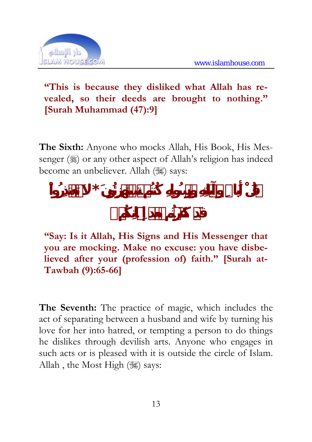

**"This is because they disliked what Allah has revealed, so their deeds are brought to nothing." [Surah Muhammad (47):9]** 

**The Sixth:** Anyone who mocks Allah, His Book, His Messenger  $(\frac{1}{2})$  or any other aspect of Allah's religion has indeed become an unbeliever. Allah (36) says:

 $\mathbf{x}$  **b** 

**"Say: Is it Allah, His Signs and His Messenger that you are mocking. Make no excuse: you have disbelieved after your (profession of) faith." [Surah at-Tawbah (9):65-66]** 

**The Seventh:** The practice of magic, which includes the act of separating between a husband and wife by turning his love for her into hatred, or tempting a person to do things he dislikes through devilish arts. Anyone who engages in such acts or is pleased with it is outside the circle of Islam. Allah, the Most High  $(\frac{1}{100})$  says: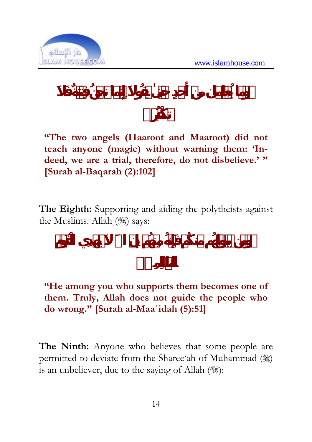

**"The two angels (Haaroot and Maaroot) did not teach anyone (magic) without warning them: 'Indeed, we are a trial, therefore, do not disbelieve.' " [Surah al-Baqarah (2):102]** 

**The Eighth:** Supporting and aiding the polytheists against the Muslims. Allah (,) says:

**"He among you who supports them becomes one of them. Truly, Allah does not guide the people who do wrong." [Surah al-Maa`idah (5):51]** 

**The Ninth:** Anyone who believes that some people are permitted to deviate from the Sharee'ah of Muhammad ( $\gg$ ) is an unbeliever, due to the saying of Allah  $(\frac{1}{2})$ :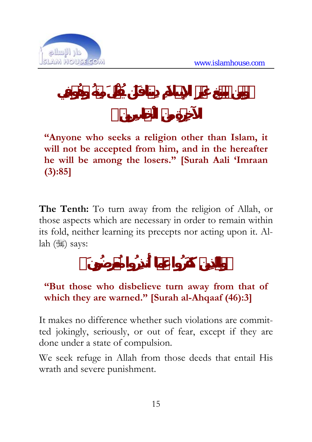

**"Anyone who seeks a religion other than Islam, it will not be accepted from him, and in the hereafter he will be among the losers." [Surah Aali 'Imraan (3):85]** 

**The Tenth:** To turn away from the religion of Allah, or those aspects which are necessary in order to remain within its fold, neither learning its precepts nor acting upon it. Allah (,) says:

#### **"But those who disbelieve turn away from that of which they are warned." [Surah al-Ahqaaf (46):3]**

It makes no difference whether such violations are committed jokingly, seriously, or out of fear, except if they are done under a state of compulsion.

We seek refuge in Allah from those deeds that entail His wrath and severe punishment.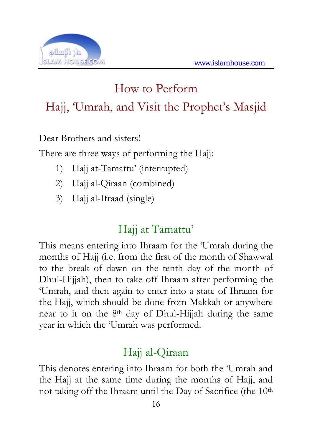

## How to Perform Hajj, 'Umrah, and Visit the Prophet's Masjid

Dear Brothers and sisters!

There are three ways of performing the Hajj:

- 1) Hajj at-Tamattu' (interrupted)
- 2) Hajj al-Qiraan (combined)
- 3) Hajj al-Ifraad (single)

### Haji at Tamattu'

This means entering into Ihraam for the 'Umrah during the months of Hajj (i.e. from the first of the month of Shawwal to the break of dawn on the tenth day of the month of Dhul-Hijjah), then to take off Ihraam after performing the 'Umrah, and then again to enter into a state of Ihraam for the Hajj, which should be done from Makkah or anywhere near to it on the 8th day of Dhul-Hijjah during the same year in which the 'Umrah was performed.

### Hajj al-Qiraan

This denotes entering into Ihraam for both the 'Umrah and the Hajj at the same time during the months of Hajj, and not taking off the Ihraam until the Day of Sacrifice (the 10<sup>th</sup>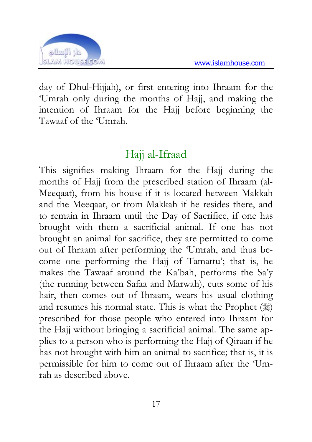

day of Dhul-Hijjah), or first entering into Ihraam for the 'Umrah only during the months of Hajj, and making the intention of Ihraam for the Hajj before beginning the Tawaaf of the 'Umrah.

### Haji al-Ifraad

This signifies making Ihraam for the Hajj during the months of Hajj from the prescribed station of Ihraam (al-Meeqaat), from his house if it is located between Makkah and the Meeqaat, or from Makkah if he resides there, and to remain in Ihraam until the Day of Sacrifice, if one has brought with them a sacrificial animal. If one has not brought an animal for sacrifice, they are permitted to come out of Ihraam after performing the 'Umrah, and thus become one performing the Hajj of Tamattu'; that is, he makes the Tawaaf around the Ka'bah, performs the Sa'y (the running between Safaa and Marwah), cuts some of his hair, then comes out of Ihraam, wears his usual clothing and resumes his normal state. This is what the Prophet  $(\mathcal{E})$ prescribed for those people who entered into Ihraam for the Hajj without bringing a sacrificial animal. The same applies to a person who is performing the Hajj of Qiraan if he has not brought with him an animal to sacrifice; that is, it is permissible for him to come out of Ihraam after the 'Umrah as described above.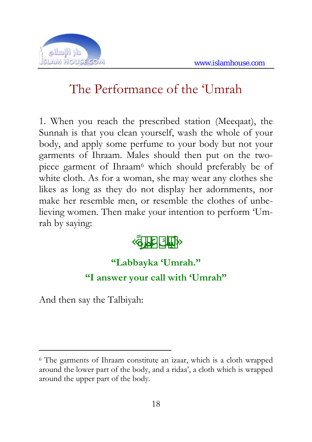

## The Performance of the 'Umrah

1. When you reach the prescribed station (Meeqaat), the Sunnah is that you clean yourself, wash the whole of your body, and apply some perfume to your body but not your garments of Ihraam. Males should then put on the twopiece garment of Ihraam<sup>6</sup> which should preferably be of white cloth. As for a woman, she may wear any clothes she likes as long as they do not display her adornments, nor make her resemble men, or resemble the clothes of unbelieving women. Then make your intention to perform 'Umrah by saying:

### $\ll$   $\gg$

#### **"Labbayka 'Umrah."**

#### **"I answer your call with 'Umrah"**

And then say the Talbiyah:

<sup>6</sup> The garments of Ihraam constitute an izaar, which is a cloth wrapped around the lower part of the body, and a ridaa', a cloth which is wrapped around the upper part of the body.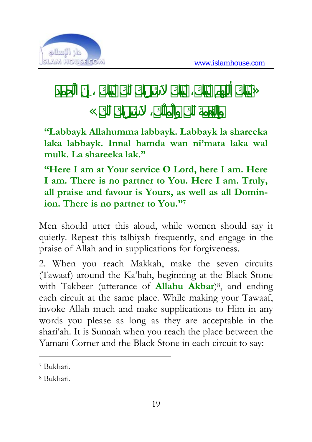

 $\gg$ 

### $\mathbf{K}$ .

**"Labbayk Allahumma labbayk. Labbayk la shareeka laka labbayk. Innal hamda wan ni'mata laka wal mulk. La shareeka lak."** 

**"Here I am at Your service O Lord, here I am. Here I am. There is no partner to You. Here I am. Truly, all praise and favour is Yours, as well as all Dominion. There is no partner to You."7**

Men should utter this aloud, while women should say it quietly. Repeat this talbiyah frequently, and engage in the praise of Allah and in supplications for forgiveness.

2. When you reach Makkah, make the seven circuits (Tawaaf) around the Ka'bah, beginning at the Black Stone with Takbeer (utterance of **Allahu Akbar**)8, and ending each circuit at the same place. While making your Tawaaf, invoke Allah much and make supplications to Him in any words you please as long as they are acceptable in the shari'ah. It is Sunnah when you reach the place between the Yamani Corner and the Black Stone in each circuit to say:

<sup>7</sup> Bukhari.

<sup>8</sup> Bukhari.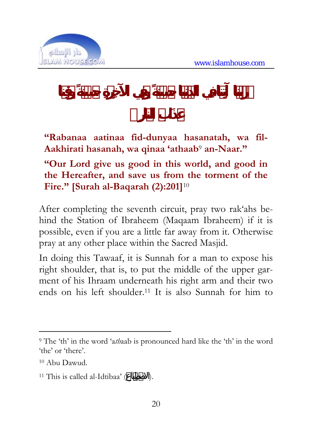

**"Rabanaa aatinaa fid-dunyaa hasanatah, wa fil-Aakhirati hasanah, wa qinaa 'athaab**9 **an-Naar."** 

#### **"Our Lord give us good in this world, and good in the Hereafter, and save us from the torment of the Fire." [Surah al-Baqarah (2):201]**<sup>10</sup>

After completing the seventh circuit, pray two rak'ahs behind the Station of Ibraheem (Maqaam Ibraheem) if it is possible, even if you are a little far away from it. Otherwise pray at any other place within the Sacred Masjid.

In doing this Tawaaf, it is Sunnah for a man to expose his right shoulder, that is, to put the middle of the upper garment of his Ihraam underneath his right arm and their two ends on his left shoulder.11 It is also Sunnah for him to

<sup>9</sup> The 'th' in the word 'a*th*aab is pronounced hard like the 'th' in the word 'the' or 'there'.

<sup>10</sup> Abu Dawud.

<sup>&</sup>lt;sup>11</sup> This is called al-Idtibaa'  $($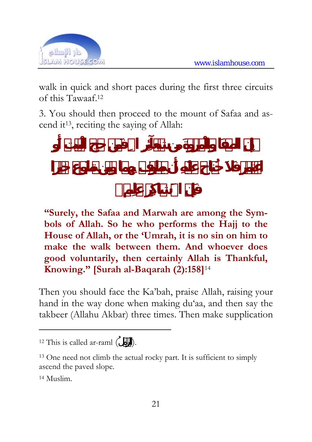

walk in quick and short paces during the first three circuits of this Tawaaf.12

3. You should then proceed to the mount of Safaa and ascend it13, reciting the saying of Allah:

**"Surely, the Safaa and Marwah are among the Symbols of Allah. So he who performs the Hajj to the House of Allah, or the 'Umrah, it is no sin on him to make the walk between them. And whoever does good voluntarily, then certainly Allah is Thankful, Knowing." [Surah al-Baqarah (2):158]**<sup>14</sup>

Then you should face the Ka'bah, praise Allah, raising your hand in the way done when making du'aa, and then say the takbeer (Allahu Akbar) three times. Then make supplication

<sup>&</sup>lt;sup>12</sup> This is called ar-raml  $($ ).

<sup>13</sup> One need not climb the actual rocky part. It is sufficient to simply ascend the paved slope.

<sup>14</sup> Muslim.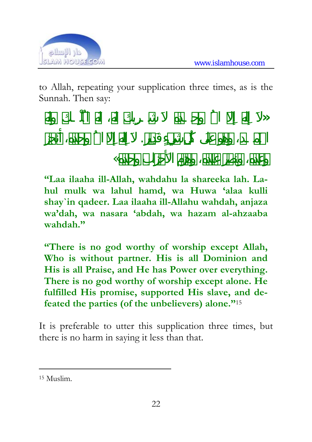

to Allah, repeating your supplication three times, as is the Sunnah. Then say:

الحَمـد لَو دِءٍ . إِل االله وحده أَنجز

**«** إِلاَ له االله وحـده شـرِيك المُلْـك

 $\ll$ 

**"Laa ilaaha ill-Allah, wahdahu la shareeka lah. Lahul mulk wa lahul hamd, wa Huwa 'alaa kulli shay`in qadeer. Laa ilaaha ill-Allahu wahdah, anjaza wa'dah, wa nasara 'abdah, wa hazam al-ahzaaba wahdah."** 

**"There is no god worthy of worship except Allah, Who is without partner. His is all Dominion and His is all Praise, and He has Power over everything. There is no god worthy of worship except alone. He fulfilled His promise, supported His slave, and defeated the parties (of the unbelievers) alone."**<sup>15</sup>

It is preferable to utter this supplication three times, but there is no harm in saying it less than that.

<sup>15</sup> Muslim.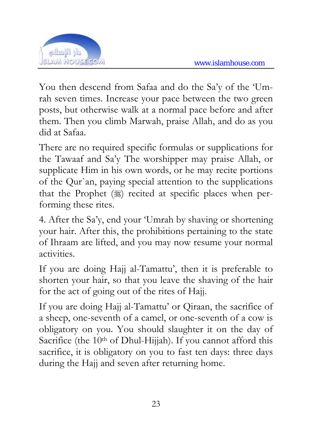

You then descend from Safaa and do the Sa'y of the 'Umrah seven times. Increase your pace between the two green posts, but otherwise walk at a normal pace before and after them. Then you climb Marwah, praise Allah, and do as you did at Safaa.

There are no required specific formulas or supplications for the Tawaaf and Sa'y The worshipper may praise Allah, or supplicate Him in his own words, or he may recite portions of the Qur`an, paying special attention to the supplications that the Prophet  $(\frac{1}{2})$  recited at specific places when performing these rites.

4. After the Sa'y, end your 'Umrah by shaving or shortening your hair. After this, the prohibitions pertaining to the state of Ihraam are lifted, and you may now resume your normal activities.

If you are doing Hajj al-Tamattu', then it is preferable to shorten your hair, so that you leave the shaving of the hair for the act of going out of the rites of Hajj.

If you are doing Hajj al-Tamattu' or Qiraan, the sacrifice of a sheep, one-seventh of a camel, or one-seventh of a cow is obligatory on you. You should slaughter it on the day of Sacrifice (the 10<sup>th</sup> of Dhul-Hijjah). If you cannot afford this sacrifice, it is obligatory on you to fast ten days: three days during the Hajj and seven after returning home.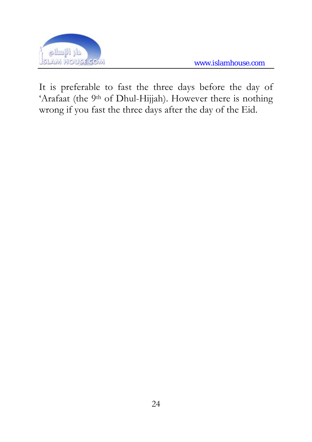



It is preferable to fast the three days before the day of 'Arafaat (the 9<sup>th</sup> of Dhul-Hijjah). However there is nothing wrong if you fast the three days after the day of the Eid.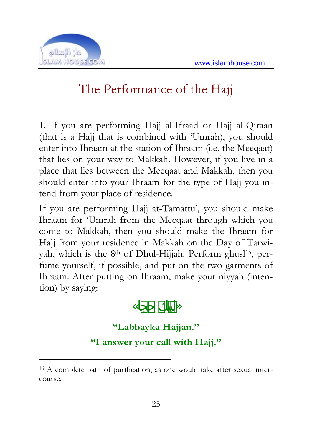

 $\overline{a}$ 

## The Performance of the Hajj

1. If you are performing Hajj al-Ifraad or Hajj al-Qiraan (that is a Hajj that is combined with 'Umrah), you should enter into Ihraam at the station of Ihraam (i.e. the Meeqaat) that lies on your way to Makkah. However, if you live in a place that lies between the Meeqaat and Makkah, then you should enter into your Ihraam for the type of Hajj you intend from your place of residence.

If you are performing Hajj at-Tamattu', you should make Ihraam for 'Umrah from the Meeqaat through which you come to Makkah, then you should make the Ihraam for Hajj from your residence in Makkah on the Day of Tarwiyah, which is the 8<sup>th</sup> of Dhul-Hijjah. Perform ghusl<sup>16</sup>, perfume yourself, if possible, and put on the two garments of Ihraam. After putting on Ihraam, make your niyyah (intention) by saying:

« حجا»

#### **"Labbayka Hajjan." "I answer your call with Hajj."**

<sup>16</sup> A complete bath of purification, as one would take after sexual intercourse.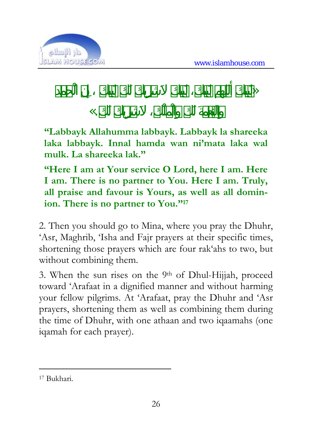

 $\gg$ 



**"Labbayk Allahumma labbayk. Labbayk la shareeka laka labbayk. Innal hamda wan ni'mata laka wal mulk. La shareeka lak."** 

**"Here I am at Your service O Lord, here I am. Here I am. There is no partner to You. Here I am. Truly, all praise and favour is Yours, as well as all dominion. There is no partner to You."17**

2. Then you should go to Mina, where you pray the Dhuhr, 'Asr, Maghrib, 'Isha and Fajr prayers at their specific times, shortening those prayers which are four rak'ahs to two, but without combining them.

3. When the sun rises on the  $9<sup>th</sup>$  of Dhul-Hijjah, proceed toward 'Arafaat in a dignified manner and without harming your fellow pilgrims. At 'Arafaat, pray the Dhuhr and 'Asr prayers, shortening them as well as combining them during the time of Dhuhr, with one athaan and two iqaamahs (one iqamah for each prayer).

<sup>17</sup> Bukhari.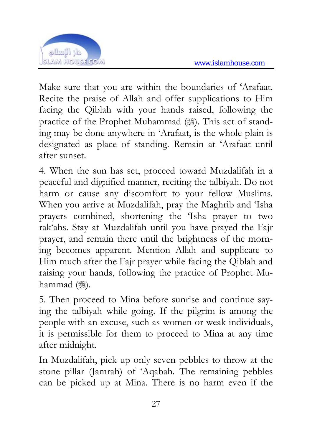

Make sure that you are within the boundaries of 'Arafaat. Recite the praise of Allah and offer supplications to Him facing the Qiblah with your hands raised, following the practice of the Prophet Muhammad (.). This act of standing may be done anywhere in 'Arafaat, is the whole plain is designated as place of standing. Remain at 'Arafaat until after sunset.

4. When the sun has set, proceed toward Muzdalifah in a peaceful and dignified manner, reciting the talbiyah. Do not harm or cause any discomfort to your fellow Muslims. When you arrive at Muzdalifah, pray the Maghrib and 'Isha prayers combined, shortening the 'Isha prayer to two rak'ahs. Stay at Muzdalifah until you have prayed the Fajr prayer, and remain there until the brightness of the morning becomes apparent. Mention Allah and supplicate to Him much after the Fajr prayer while facing the Qiblah and raising your hands, following the practice of Prophet Muhammad (ﷺ).

5. Then proceed to Mina before sunrise and continue saying the talbiyah while going. If the pilgrim is among the people with an excuse, such as women or weak individuals, it is permissible for them to proceed to Mina at any time after midnight.

In Muzdalifah, pick up only seven pebbles to throw at the stone pillar (Jamrah) of 'Aqabah. The remaining pebbles can be picked up at Mina. There is no harm even if the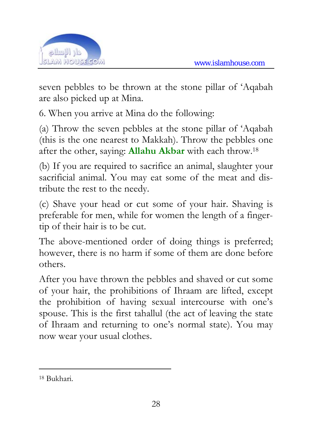

seven pebbles to be thrown at the stone pillar of 'Aqabah are also picked up at Mina.

6. When you arrive at Mina do the following:

(a) Throw the seven pebbles at the stone pillar of 'Aqabah (this is the one nearest to Makkah). Throw the pebbles one after the other, saying: **Allahu Akbar** with each throw.18

(b) If you are required to sacrifice an animal, slaughter your sacrificial animal. You may eat some of the meat and distribute the rest to the needy.

(c) Shave your head or cut some of your hair. Shaving is preferable for men, while for women the length of a fingertip of their hair is to be cut.

The above-mentioned order of doing things is preferred; however, there is no harm if some of them are done before others.

After you have thrown the pebbles and shaved or cut some of your hair, the prohibitions of Ihraam are lifted, except the prohibition of having sexual intercourse with one's spouse. This is the first tahallul (the act of leaving the state of Ihraam and returning to one's normal state). You may now wear your usual clothes.

<sup>18</sup> Bukhari.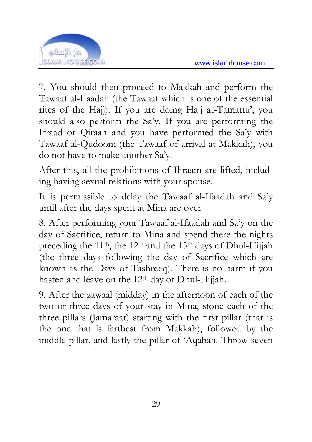

7. You should then proceed to Makkah and perform the Tawaaf al-Ifaadah (the Tawaaf which is one of the essential rites of the Hajj). If you are doing Hajj at-Tamattu', you should also perform the Sa'y. If you are performing the Ifraad or Qiraan and you have performed the Sa'y with Tawaaf al-Qudoom (the Tawaaf of arrival at Makkah), you do not have to make another Sa'y.

After this, all the prohibitions of Ihraam are lifted, including having sexual relations with your spouse.

It is permissible to delay the Tawaaf al-Ifaadah and Sa'y until after the days spent at Mina are over

8. After performing your Tawaaf al-Ifaadah and Sa'y on the day of Sacrifice, return to Mina and spend there the nights preceding the 11th, the 12th and the 13th days of Dhul-Hijjah (the three days following the day of Sacrifice which are known as the Days of Tashreeq). There is no harm if you hasten and leave on the 12th day of Dhul-Hijjah.

9. After the zawaal (midday) in the afternoon of each of the two or three days of your stay in Mina, stone each of the three pillars (Jamaraat) starting with the first pillar (that is the one that is farthest from Makkah), followed by the middle pillar, and lastly the pillar of 'Aqabah. Throw seven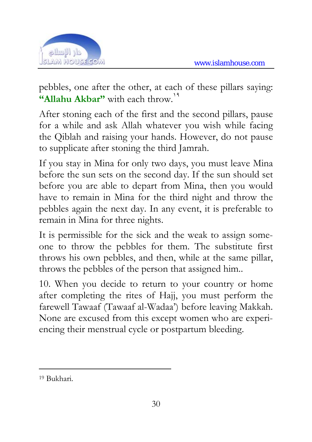

pebbles, one after the other, at each of these pillars saying: "Allahu Akbar" with each throw.<sup>19</sup>

After stoning each of the first and the second pillars, pause for a while and ask Allah whatever you wish while facing the Qiblah and raising your hands. However, do not pause to supplicate after stoning the third Jamrah.

If you stay in Mina for only two days, you must leave Mina before the sun sets on the second day. If the sun should set before you are able to depart from Mina, then you would have to remain in Mina for the third night and throw the pebbles again the next day. In any event, it is preferable to remain in Mina for three nights.

It is permissible for the sick and the weak to assign someone to throw the pebbles for them. The substitute first throws his own pebbles, and then, while at the same pillar, throws the pebbles of the person that assigned him..

10. When you decide to return to your country or home after completing the rites of Hajj, you must perform the farewell Tawaaf (Tawaaf al-Wadaa') before leaving Makkah. None are excused from this except women who are experiencing their menstrual cycle or postpartum bleeding.

<sup>19</sup> Bukhari.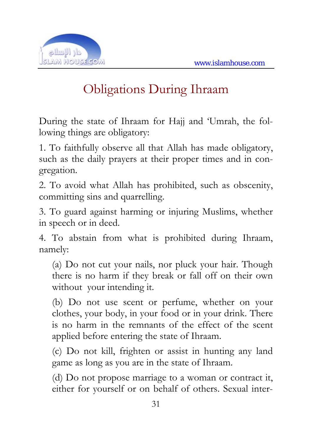

## Obligations During Ihraam

During the state of Ihraam for Hajj and 'Umrah, the following things are obligatory:

1. To faithfully observe all that Allah has made obligatory, such as the daily prayers at their proper times and in congregation.

2. To avoid what Allah has prohibited, such as obscenity, committing sins and quarrelling.

3. To guard against harming or injuring Muslims, whether in speech or in deed.

4. To abstain from what is prohibited during Ihraam, namely:

(a) Do not cut your nails, nor pluck your hair. Though there is no harm if they break or fall off on their own without your intending it.

(b) Do not use scent or perfume, whether on your clothes, your body, in your food or in your drink. There is no harm in the remnants of the effect of the scent applied before entering the state of Ihraam.

(c) Do not kill, frighten or assist in hunting any land game as long as you are in the state of Ihraam.

(d) Do not propose marriage to a woman or contract it, either for yourself or on behalf of others. Sexual inter-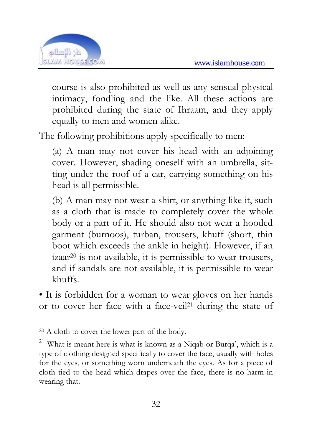

course is also prohibited as well as any sensual physical intimacy, fondling and the like. All these actions are prohibited during the state of Ihraam, and they apply equally to men and women alike.

The following prohibitions apply specifically to men:

(a) A man may not cover his head with an adjoining cover. However, shading oneself with an umbrella, sitting under the roof of a car, carrying something on his head is all permissible.

(b) A man may not wear a shirt, or anything like it, such as a cloth that is made to completely cover the whole body or a part of it. He should also not wear a hooded garment (burnoos), turban, trousers, khuff (short, thin boot which exceeds the ankle in height). However, if an izaar20 is not available, it is permissible to wear trousers, and if sandals are not available, it is permissible to wear khuffs.

• It is forbidden for a woman to wear gloves on her hands or to cover her face with a face-veil<sup>21</sup> during the state of

<sup>20</sup> A cloth to cover the lower part of the body.

<sup>21</sup> What is meant here is what is known as a Niqab or Burqa', which is a type of clothing designed specifically to cover the face, usually with holes for the eyes, or something worn underneath the eyes. As for a piece of cloth tied to the head which drapes over the face, there is no harm in wearing that.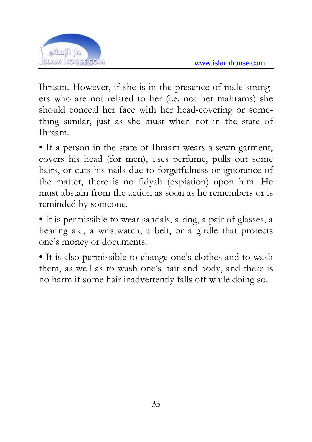

Ihraam. However, if she is in the presence of male strangers who are not related to her (i.e. not her mahrams) she should conceal her face with her head-covering or something similar, just as she must when not in the state of Ihraam.

• If a person in the state of Ihraam wears a sewn garment, covers his head (for men), uses perfume, pulls out some hairs, or cuts his nails due to forgetfulness or ignorance of the matter, there is no fidyah (expiation) upon him. He must abstain from the action as soon as he remembers or is reminded by someone.

• It is permissible to wear sandals, a ring, a pair of glasses, a hearing aid, a wristwatch, a belt, or a girdle that protects one's money or documents.

• It is also permissible to change one's clothes and to wash them, as well as to wash one's hair and body, and there is no harm if some hair inadvertently falls off while doing so.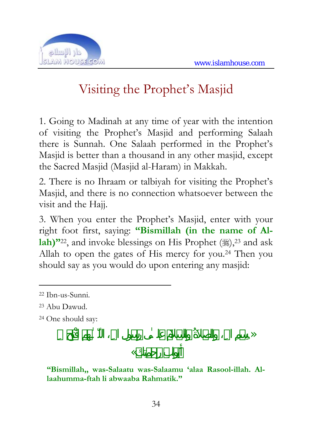

## Visiting the Prophet's Masjid

1. Going to Madinah at any time of year with the intention of visiting the Prophet's Masjid and performing Salaah there is Sunnah. One Salaah performed in the Prophet's Masjid is better than a thousand in any other masjid, except the Sacred Masjid (Masjid al-Haram) in Makkah.

2. There is no Ihraam or talbiyah for visiting the Prophet's Masjid, and there is no connection whatsoever between the visit and the Hajj.

3. When you enter the Prophet's Masjid, enter with your right foot first, saying: **"Bismillah (in the name of Allah)**"<sup>22</sup>, and invoke blessings on His Prophet ( $\ddot{\text{m}}$ ),<sup>23</sup> and ask Allah to open the gates of His mercy for you.24 Then you should say as you would do upon entering any masjid:

 $\overline{a}$ 

رابو كتِم «

**"Bismillah,, was-Salaatu was-Salaamu 'alaa Rasool-illah. Allaahumma-ftah li abwaaba Rahmatik."** 

<sup>22</sup> Ibn-us-Sunni.

<sup>23</sup> Abu Dawud.

<sup>24</sup> One should say: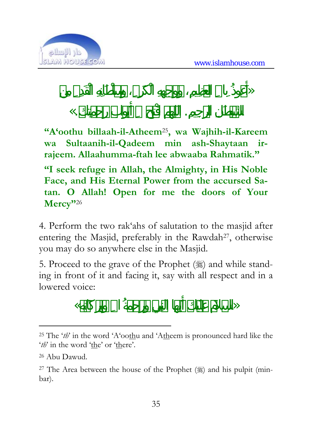

 $\gg$ 

## $\mathbb{K}$ .

**"A'oothu billaah-il-Atheem**25**, wa Wajhih-il-Kareem wa Sultaanih-il-Qadeem min ash-Shaytaan irrajeem. Allaahumma-ftah lee abwaaba Rahmatik."**

**"I seek refuge in Allah, the Almighty, in His Noble Face, and His Eternal Power from the accursed Satan. O Allah! Open for me the doors of Your Mercy"**<sup>26</sup>

4. Perform the two rak'ahs of salutation to the masjid after entering the Masjid, preferably in the Rawdah<sup>27</sup>, otherwise you may do so anywhere else in the Masjid.

5. Proceed to the grave of the Prophet  $(\frac{1}{2})$  and while standing in front of it and facing it, say with all respect and in a lowered voice:

 $\ll$ 

 $\overline{a}$ <sup>25</sup> The '*th*' in the word 'A'oothu and 'Atheem is pronounced hard like the '*th*' in the word 'the' or 'there'.

<sup>26</sup> Abu Dawud.

<sup>&</sup>lt;sup>27</sup> The Area between the house of the Prophet  $(\frac{1}{2})$  and his pulpit (minbar).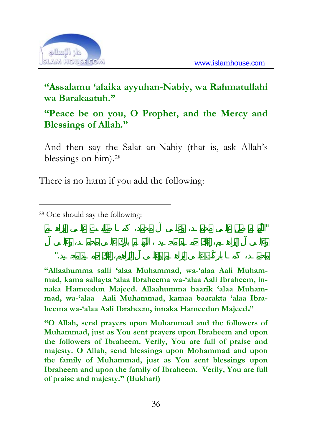

#### **"Assalamu 'alaika ayyuhan-Nabiy, wa Rahmatullahi wa Barakaatuh."**

#### **"Peace be on you, O Prophet, and the Mercy and Blessings of Allah."**

And then say the Salat an-Nabiy (that is, ask Allah's blessings on him).28

There is no harm if you add the following:

 $\overline{a}$ 

**"Allaahumma salli 'alaa Muhammad, wa-'alaa Aali Muhammad, kama sallayta 'alaa Ibraheema wa-'alaa Aali Ibraheem, innaka Hameedun Majeed. Allaahumma baarik 'alaa Muhammad, wa-'alaa Aali Muhammad, kamaa baarakta 'alaa Ibraheema wa-'alaa Aali Ibraheem, innaka Hameedun Majeed."** 

"اللّهـم صلِّ علـى محمـد، وعلـى آلِ محمد، كَمـا صلَّيـت علـى إبراهـيم

محمد، كَمـا بارْكْت عليه وعليه وعليه وعليه وعليه وعليه وعليه وعليه وعليه وعليه وعليه وعليه وعليه وعليه وعليه و<br>وحمد البراهيم الإبراهيم، إِنك حميد البراهيم، إِنك حميد مجموعة الإبراهيم، إِنك حميد مجموعة الإبراهيم، وحميد الب

**"O Allah, send prayers upon Muhammad and the followers of Muhammad, just as You sent prayers upon Ibraheem and upon the followers of Ibraheem. Verily, You are full of praise and majesty. O Allah, send blessings upon Mohammad and upon the family of Muhammad, just as You sent blessings upon Ibraheem and upon the family of Ibraheem. Verily, You are full of praise and majesty." (Bukhari)**

<sup>28</sup> One should say the following: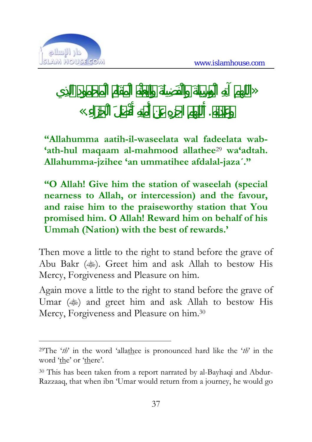

 $\gg$ 

 $\langle \langle \cdot, \cdot \rangle \rangle$ 

 $\overline{a}$ 

**"Allahumma aatih-il-waseelata wal fadeelata wab- 'ath-hul maqaam al-mahmood allathee**29 **wa'adtah. Allahumma-jzihee 'an ummatihee afdalal-jaza´."**

**"O Allah! Give him the station of waseelah (special nearness to Allah, or intercession) and the favour, and raise him to the praiseworthy station that You promised him. O Allah! Reward him on behalf of his Ummah (Nation) with the best of rewards.'**

Then move a little to the right to stand before the grave of Abu Bakr ( $\gg$ ). Greet him and ask Allah to bestow His Mercy, Forgiveness and Pleasure on him.

Again move a little to the right to stand before the grave of Umar ( $\qquad$ ) and greet him and ask Allah to bestow His Mercy, Forgiveness and Pleasure on him.30

<sup>29</sup>The '*th*' in the word 'allathee is pronounced hard like the '*th*' in the word 'the' or 'there'.

<sup>30</sup> This has been taken from a report narrated by al-Bayhaqi and Abdur-Razzaaq, that when ibn 'Umar would return from a journey, he would go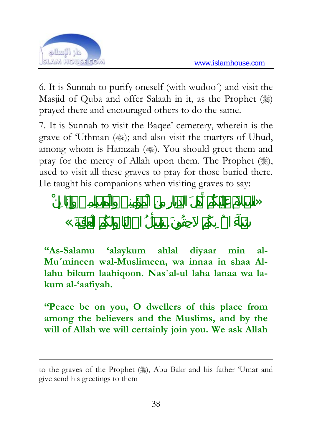

6. It is Sunnah to purify oneself (with wudoo´) and visit the Masjid of Quba and offer Salaah in it, as the Prophet () prayed there and encouraged others to do the same.

7. It is Sunnah to visit the Baqee' cemetery, wherein is the grave of 'Uthman ( $\gg$ ); and also visit the martyrs of Uhud, among whom is Hamzah ( $\gg$ ). You should greet them and pray for the mercy of Allah upon them. The Prophet  $(\frac{1}{2})$ , used to visit all these graves to pray for those buried there. He taught his companions when visiting graves to say:

 $\gg$ 

 $\ll$ .

 $\overline{a}$ 

**"As-Salamu 'alaykum ahlal diyaar min al-Mu´mineen wal-Muslimeen, wa innaa in shaa Allahu bikum laahiqoon. Nas`al-ul laha lanaa wa lakum al-'aafiyah.** 

**"Peace be on you, O dwellers of this place from among the believers and the Muslims, and by the will of Allah we will certainly join you. We ask Allah** 

to the graves of the Prophet (3), Abu Bakr and his father 'Umar and give send his greetings to them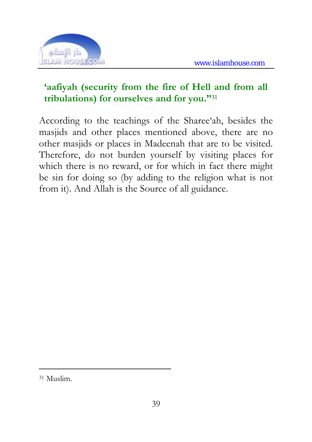

#### **'aafiyah (security from the fire of Hell and from all tribulations) for ourselves and for you."**<sup>31</sup>

According to the teachings of the Sharee'ah, besides the masjids and other places mentioned above, there are no other masjids or places in Madeenah that are to be visited. Therefore, do not burden yourself by visiting places for which there is no reward, or for which in fact there might be sin for doing so (by adding to the religion what is not from it). And Allah is the Source of all guidance.

<sup>31</sup> Muslim.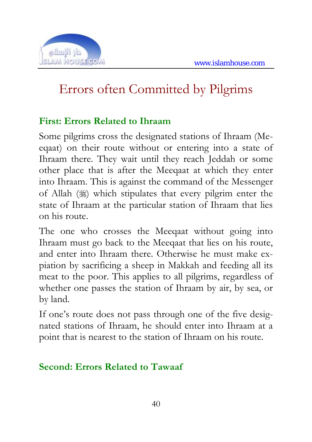

## Errors often Committed by Pilgrims

#### **First: Errors Related to Ihraam**

Some pilgrims cross the designated stations of Ihraam (Meeqaat) on their route without or entering into a state of Ihraam there. They wait until they reach Jeddah or some other place that is after the Meeqaat at which they enter into Ihraam. This is against the command of the Messenger of Allah  $(\frac{1}{2})$  which stipulates that every pilgrim enter the state of Ihraam at the particular station of Ihraam that lies on his route.

The one who crosses the Meeqaat without going into Ihraam must go back to the Meeqaat that lies on his route, and enter into Ihraam there. Otherwise he must make expiation by sacrificing a sheep in Makkah and feeding all its meat to the poor. This applies to all pilgrims, regardless of whether one passes the station of Ihraam by air, by sea, or by land.

If one's route does not pass through one of the five designated stations of Ihraam, he should enter into Ihraam at a point that is nearest to the station of Ihraam on his route.

#### **Second: Errors Related to Tawaaf**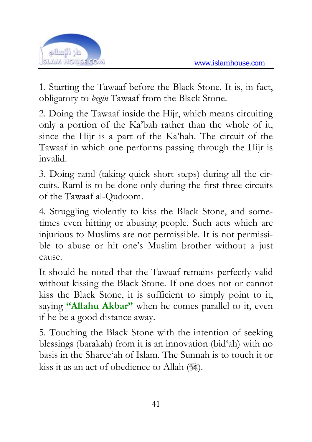

1. Starting the Tawaaf before the Black Stone. It is, in fact, obligatory to *begin* Tawaaf from the Black Stone.

2. Doing the Tawaaf inside the Hijr, which means circuiting only a portion of the Ka'bah rather than the whole of it, since the Hijr is a part of the Ka'bah. The circuit of the Tawaaf in which one performs passing through the Hijr is invalid.

3. Doing raml (taking quick short steps) during all the circuits. Raml is to be done only during the first three circuits of the Tawaaf al-Qudoom.

4. Struggling violently to kiss the Black Stone, and sometimes even hitting or abusing people. Such acts which are injurious to Muslims are not permissible. It is not permissible to abuse or hit one's Muslim brother without a just cause.

It should be noted that the Tawaaf remains perfectly valid without kissing the Black Stone. If one does not or cannot kiss the Black Stone, it is sufficient to simply point to it, saying **"Allahu Akbar"** when he comes parallel to it, even if he be a good distance away.

5. Touching the Black Stone with the intention of seeking blessings (barakah) from it is an innovation (bid'ah) with no basis in the Sharee'ah of Islam. The Sunnah is to touch it or kiss it as an act of obedience to Allah (,).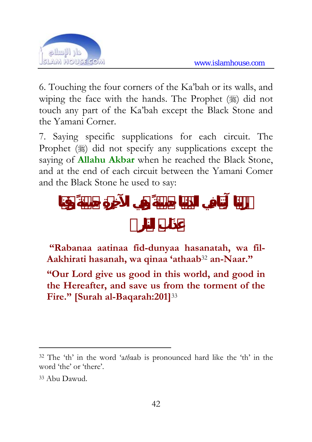

6. Touching the four corners of the Ka'bah or its walls, and wiping the face with the hands. The Prophet  $(\frac{16}{2})$  did not touch any part of the Ka'bah except the Black Stone and the Yamani Corner.

7. Saying specific supplications for each circuit. The Prophet (3) did not specify any supplications except the saying of **Allahu Akbar** when he reached the Black Stone, and at the end of each circuit between the Yamani Comer and the Black Stone he used to say:

 **"Rabanaa aatinaa fid-dunyaa hasanatah, wa fil-Aakhirati hasanah, wa qinaa 'athaab**32 **an-Naar."** 

**"Our Lord give us good in this world, and good in the Hereafter, and save us from the torment of the Fire." [Surah al-Baqarah:201]**<sup>33</sup>

<sup>32</sup> The 'th' in the word 'a*th*aab is pronounced hard like the 'th' in the word 'the' or 'there'.

<sup>33</sup> Abu Dawud.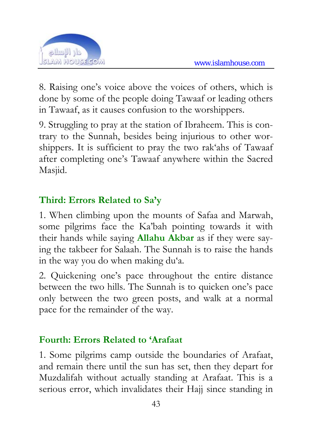

8. Raising one's voice above the voices of others, which is done by some of the people doing Tawaaf or leading others in Tawaaf, as it causes confusion to the worshippers.

9. Struggling to pray at the station of Ibraheem. This is contrary to the Sunnah, besides being injurious to other worshippers. It is sufficient to pray the two rak'ahs of Tawaaf after completing one's Tawaaf anywhere within the Sacred Masjid.

#### **Third: Errors Related to Sa'y**

1. When climbing upon the mounts of Safaa and Marwah, some pilgrims face the Ka'bah pointing towards it with their hands while saying **Allahu Akbar** as if they were saying the takbeer for Salaah. The Sunnah is to raise the hands in the way you do when making du'a.

2. Quickening one's pace throughout the entire distance between the two hills. The Sunnah is to quicken one's pace only between the two green posts, and walk at a normal pace for the remainder of the way.

#### **Fourth: Errors Related to 'Arafaat**

1. Some pilgrims camp outside the boundaries of Arafaat, and remain there until the sun has set, then they depart for Muzdalifah without actually standing at Arafaat. This is a serious error, which invalidates their Hajj since standing in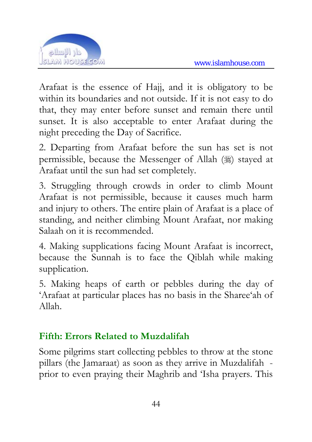

Arafaat is the essence of Hajj, and it is obligatory to be within its boundaries and not outside. If it is not easy to do that, they may enter before sunset and remain there until sunset. It is also acceptable to enter Arafaat during the night preceding the Day of Sacrifice.

2. Departing from Arafaat before the sun has set is not permissible, because the Messenger of Allah () stayed at Arafaat until the sun had set completely.

3. Struggling through crowds in order to climb Mount Arafaat is not permissible, because it causes much harm and injury to others. The entire plain of Arafaat is a place of standing, and neither climbing Mount Arafaat, nor making Salaah on it is recommended.

4. Making supplications facing Mount Arafaat is incorrect, because the Sunnah is to face the Qiblah while making supplication.

5. Making heaps of earth or pebbles during the day of 'Arafaat at particular places has no basis in the Sharee'ah of Allah.

#### **Fifth: Errors Related to Muzdalifah**

Some pilgrims start collecting pebbles to throw at the stone pillars (the Jamaraat) as soon as they arrive in Muzdalifah prior to even praying their Maghrib and 'Isha prayers. This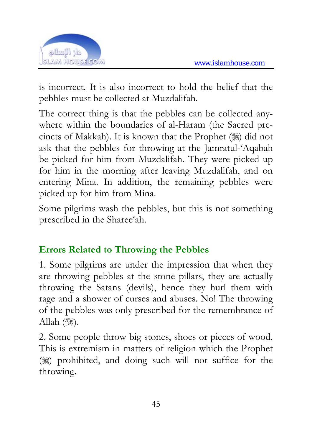

is incorrect. It is also incorrect to hold the belief that the pebbles must be collected at Muzdalifah.

The correct thing is that the pebbles can be collected anywhere within the boundaries of al-Haram (the Sacred precincts of Makkah). It is known that the Prophet  $(\frac{1}{2})$  did not ask that the pebbles for throwing at the Jamratul-'Aqabah be picked for him from Muzdalifah. They were picked up for him in the morning after leaving Muzdalifah, and on entering Mina. In addition, the remaining pebbles were picked up for him from Mina.

Some pilgrims wash the pebbles, but this is not something prescribed in the Sharee'ah.

#### **Errors Related to Throwing the Pebbles**

1. Some pilgrims are under the impression that when they are throwing pebbles at the stone pillars, they are actually throwing the Satans (devils), hence they hurl them with rage and a shower of curses and abuses. No! The throwing of the pebbles was only prescribed for the remembrance of Allah (3).

2. Some people throw big stones, shoes or pieces of wood. This is extremism in matters of religion which the Prophet  $(\%)$  prohibited, and doing such will not suffice for the throwing.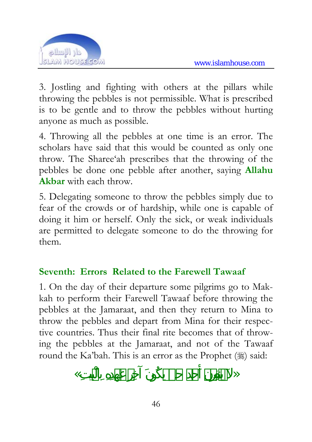

3. Jostling and fighting with others at the pillars while throwing the pebbles is not permissible. What is prescribed is to be gentle and to throw the pebbles without hurting anyone as much as possible.

4. Throwing all the pebbles at one time is an error. The scholars have said that this would be counted as only one throw. The Sharee'ah prescribes that the throwing of the pebbles be done one pebble after another, saying **Allahu Akbar** with each throw.

5. Delegating someone to throw the pebbles simply due to fear of the crowds or of hardship, while one is capable of doing it him or herself. Only the sick, or weak individuals are permitted to delegate someone to do the throwing for them.

#### **Seventh: Errors Related to the Farewell Tawaaf**

1. On the day of their departure some pilgrims go to Makkah to perform their Farewell Tawaaf before throwing the pebbles at the Jamaraat, and then they return to Mina to throw the pebbles and depart from Mina for their respective countries. Thus their final rite becomes that of throwing the pebbles at the Jamaraat, and not of the Tawaaf round the Ka'bah. This is an error as the Prophet  $(\frac{1}{2})$  said:

 $\ll$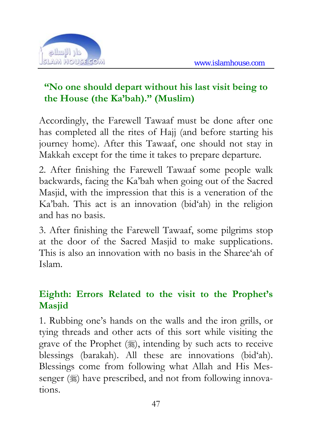

#### **"No one should depart without his last visit being to the House (the Ka'bah)." (Muslim)**

Accordingly, the Farewell Tawaaf must be done after one has completed all the rites of Hajj (and before starting his journey home). After this Tawaaf, one should not stay in Makkah except for the time it takes to prepare departure.

2. After finishing the Farewell Tawaaf some people walk backwards, facing the Ka'bah when going out of the Sacred Masjid, with the impression that this is a veneration of the Ka'bah. This act is an innovation (bid'ah) in the religion and has no basis.

3. After finishing the Farewell Tawaaf, some pilgrims stop at the door of the Sacred Masjid to make supplications. This is also an innovation with no basis in the Sharee'ah of Islam.

#### **Eighth: Errors Related to the visit to the Prophet's Masjid**

1. Rubbing one's hands on the walls and the iron grills, or tying threads and other acts of this sort while visiting the grave of the Prophet  $(\frac{16}{26})$ , intending by such acts to receive blessings (barakah). All these are innovations (bid'ah). Blessings come from following what Allah and His Messenger  $(\frac{1}{2})$  have prescribed, and not from following innovations.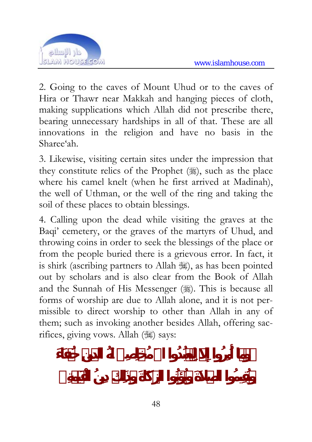

2. Going to the caves of Mount Uhud or to the caves of Hira or Thawr near Makkah and hanging pieces of cloth, making supplications which Allah did not prescribe there, bearing unnecessary hardships in all of that. These are all innovations in the religion and have no basis in the Sharee'ah.

3. Likewise, visiting certain sites under the impression that they constitute relics of the Prophet  $(\frac{1}{2})$ , such as the place where his camel knelt (when he first arrived at Madinah), the well of Uthman, or the well of the ring and taking the soil of these places to obtain blessings.

4. Calling upon the dead while visiting the graves at the Baqi' cemetery, or the graves of the martyrs of Uhud, and throwing coins in order to seek the blessings of the place or from the people buried there is a grievous error. In fact, it is shirk (ascribing partners to Allah ), as has been pointed out by scholars and is also clear from the Book of Allah and the Sunnah of His Messenger (.). This is because all forms of worship are due to Allah alone, and it is not permissible to direct worship to other than Allah in any of them; such as invoking another besides Allah, offering sacrifices, giving vows. Allah ( $\gg$ ) says: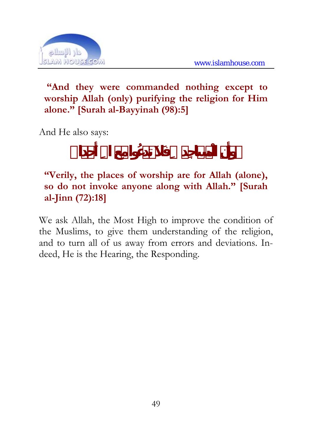

#### **"And they were commanded nothing except to worship Allah (only) purifying the religion for Him alone." [Surah al-Bayyinah (98):5]**

And He also says:

#### **"Verily, the places of worship are for Allah (alone), so do not invoke anyone along with Allah." [Surah al-Jinn (72):18]**

We ask Allah, the Most High to improve the condition of the Muslims, to give them understanding of the religion, and to turn all of us away from errors and deviations. Indeed, He is the Hearing, the Responding.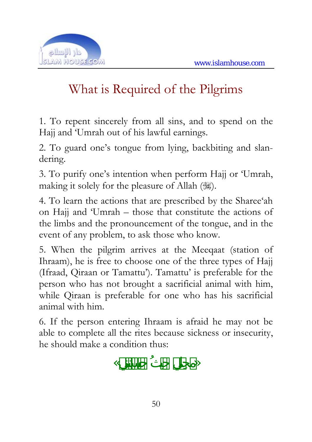

## What is Required of the Pilgrims

1. To repent sincerely from all sins, and to spend on the Hajj and 'Umrah out of his lawful earnings.

2. To guard one's tongue from lying, backbiting and slandering.

3. To purify one's intention when perform Hajj or 'Umrah, making it solely for the pleasure of Allah (3).

4. To learn the actions that are prescribed by the Sharee'ah on Hajj and 'Umrah – those that constitute the actions of the limbs and the pronouncement of the tongue, and in the event of any problem, to ask those who know.

5. When the pilgrim arrives at the Meeqaat (station of Ihraam), he is free to choose one of the three types of Hajj (Ifraad, Qiraan or Tamattu'). Tamattu' is preferable for the person who has not brought a sacrificial animal with him, while Qiraan is preferable for one who has his sacrificial animal with him.

6. If the person entering Ihraam is afraid he may not be able to complete all the rites because sickness or insecurity, he should make a condition thus:

 $\ll$   $\gg$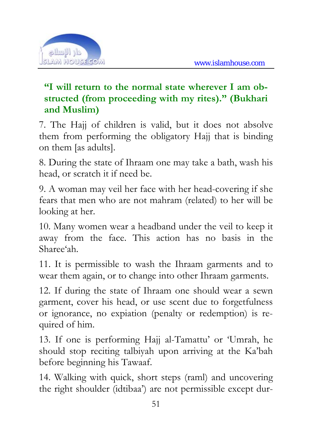

#### **"I will return to the normal state wherever I am obstructed (from proceeding with my rites)." (Bukhari and Muslim)**

7. The Hajj of children is valid, but it does not absolve them from performing the obligatory Hajj that is binding on them [as adults].

8. During the state of Ihraam one may take a bath, wash his head, or scratch it if need be.

9. A woman may veil her face with her head-covering if she fears that men who are not mahram (related) to her will be looking at her.

10. Many women wear a headband under the veil to keep it away from the face. This action has no basis in the Sharee'ah.

11. It is permissible to wash the Ihraam garments and to wear them again, or to change into other Ihraam garments.

12. If during the state of Ihraam one should wear a sewn garment, cover his head, or use scent due to forgetfulness or ignorance, no expiation (penalty or redemption) is required of him.

13. If one is performing Hajj al-Tamattu' or 'Umrah, he should stop reciting talbiyah upon arriving at the Ka'bah before beginning his Tawaaf.

14. Walking with quick, short steps (raml) and uncovering the right shoulder (idtibaa') are not permissible except dur-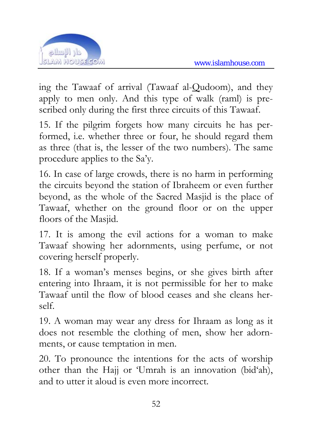

ing the Tawaaf of arrival (Tawaaf al-Qudoom), and they apply to men only. And this type of walk (raml) is prescribed only during the first three circuits of this Tawaaf.

15. If the pilgrim forgets how many circuits he has performed, i.e. whether three or four, he should regard them as three (that is, the lesser of the two numbers). The same procedure applies to the Sa'y.

16. In case of large crowds, there is no harm in performing the circuits beyond the station of Ibraheem or even further beyond, as the whole of the Sacred Masjid is the place of Tawaaf, whether on the ground floor or on the upper floors of the Masjid.

17. It is among the evil actions for a woman to make Tawaaf showing her adornments, using perfume, or not covering herself properly.

18. If a woman's menses begins, or she gives birth after entering into Ihraam, it is not permissible for her to make Tawaaf until the flow of blood ceases and she cleans herself.

19. A woman may wear any dress for Ihraam as long as it does not resemble the clothing of men, show her adornments, or cause temptation in men.

20. To pronounce the intentions for the acts of worship other than the Hajj or 'Umrah is an innovation (bid'ah), and to utter it aloud is even more incorrect.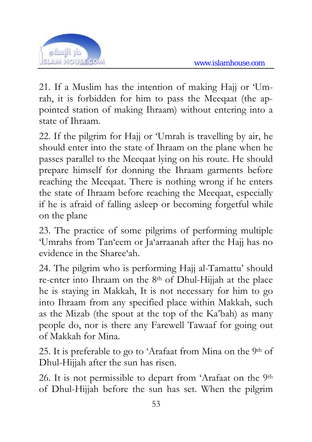

21. If a Muslim has the intention of making Hajj or 'Umrah, it is forbidden for him to pass the Meeqaat (the appointed station of making Ihraam) without entering into a state of Ihraam.

22. If the pilgrim for Hajj or 'Umrah is travelling by air, he should enter into the state of Ihraam on the plane when he passes parallel to the Meeqaat lying on his route. He should prepare himself for donning the Ihraam garments before reaching the Meeqaat. There is nothing wrong if he enters the state of Ihraam before reaching the Meeqaat, especially if he is afraid of falling asleep or becoming forgetful while on the plane

23. The practice of some pilgrims of performing multiple 'Umrahs from Tan'eem or Ja'arraanah after the Hajj has no evidence in the Sharee'ah.

24. The pilgrim who is performing Hajj al-Tamattu' should re-enter into Ihraam on the 8th of Dhul-Hijjah at the place he is staying in Makkah, It is not necessary for him to go into Ihraam from any specified place within Makkah, such as the Mizab (the spout at the top of the Ka'bah) as many people do, nor is there any Farewell Tawaaf for going out of Makkah for Mina.

25. It is preferable to go to 'Arafaat from Mina on the 9<sup>th</sup> of Dhul-Hijjah after the sun has risen.

26. It is not permissible to depart from 'Arafaat on the 9th of Dhul-Hijjah before the sun has set. When the pilgrim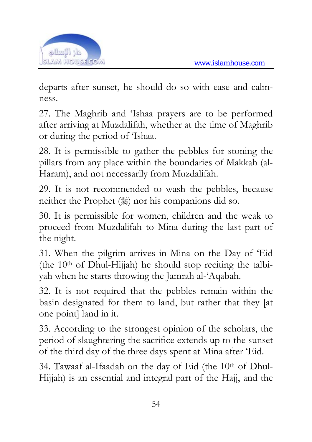

departs after sunset, he should do so with ease and calmness.

27. The Maghrib and 'Ishaa prayers are to be performed after arriving at Muzdalifah, whether at the time of Maghrib or during the period of 'Ishaa.

28. It is permissible to gather the pebbles for stoning the pillars from any place within the boundaries of Makkah (al-Haram), and not necessarily from Muzdalifah.

29. It is not recommended to wash the pebbles, because neither the Prophet  $(\mathcal{L})$  nor his companions did so.

30. It is permissible for women, children and the weak to proceed from Muzdalifah to Mina during the last part of the night.

31. When the pilgrim arrives in Mina on the Day of 'Eid (the  $10<sup>th</sup>$  of Dhul-Hijjah) he should stop reciting the talbiyah when he starts throwing the Jamrah al-'Aqabah.

32. It is not required that the pebbles remain within the basin designated for them to land, but rather that they [at one point] land in it.

33. According to the strongest opinion of the scholars, the period of slaughtering the sacrifice extends up to the sunset of the third day of the three days spent at Mina after 'Eid.

34. Tawaaf al-Ifaadah on the day of Eid (the  $10<sup>th</sup>$  of Dhul-Hijjah) is an essential and integral part of the Hajj, and the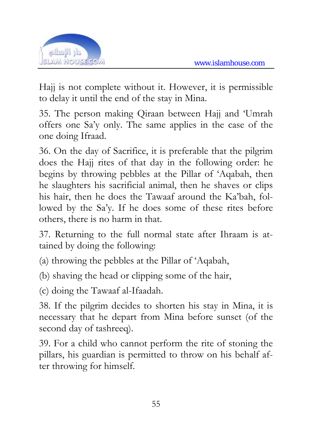

Hajj is not complete without it. However, it is permissible to delay it until the end of the stay in Mina.

35. The person making Qiraan between Hajj and 'Umrah offers one Sa'y only. The same applies in the case of the one doing Ifraad.

36. On the day of Sacrifice, it is preferable that the pilgrim does the Hajj rites of that day in the following order: he begins by throwing pebbles at the Pillar of 'Aqabah, then he slaughters his sacrificial animal, then he shaves or clips his hair, then he does the Tawaaf around the Ka'bah, followed by the Sa'y. If he does some of these rites before others, there is no harm in that.

37. Returning to the full normal state after Ihraam is attained by doing the following:

(a) throwing the pebbles at the Pillar of 'Aqabah,

(b) shaving the head or clipping some of the hair,

(c) doing the Tawaaf al-Ifaadah.

38. If the pilgrim decides to shorten his stay in Mina, it is necessary that he depart from Mina before sunset (of the second day of tashreeq).

39. For a child who cannot perform the rite of stoning the pillars, his guardian is permitted to throw on his behalf after throwing for himself.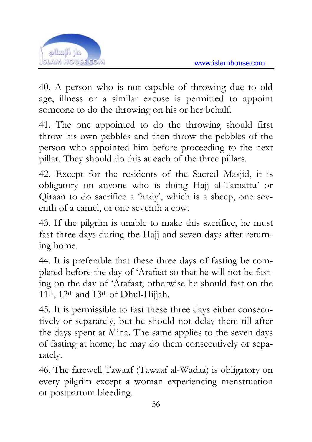

40. A person who is not capable of throwing due to old age, illness or a similar excuse is permitted to appoint someone to do the throwing on his or her behalf.

41. The one appointed to do the throwing should first throw his own pebbles and then throw the pebbles of the person who appointed him before proceeding to the next pillar. They should do this at each of the three pillars.

42. Except for the residents of the Sacred Masjid, it is obligatory on anyone who is doing Hajj al-Tamattu' or Qiraan to do sacrifice a 'hady', which is a sheep, one seventh of a camel, or one seventh a cow.

43. If the pilgrim is unable to make this sacrifice, he must fast three days during the Hajj and seven days after returning home.

44. It is preferable that these three days of fasting be completed before the day of 'Arafaat so that he will not be fasting on the day of 'Arafaat; otherwise he should fast on the 11th, 12th and 13th of Dhul-Hijjah.

45. It is permissible to fast these three days either consecutively or separately, but he should not delay them till after the days spent at Mina. The same applies to the seven days of fasting at home; he may do them consecutively or separately.

46. The farewell Tawaaf (Tawaaf al-Wadaa) is obligatory on every pilgrim except a woman experiencing menstruation or postpartum bleeding.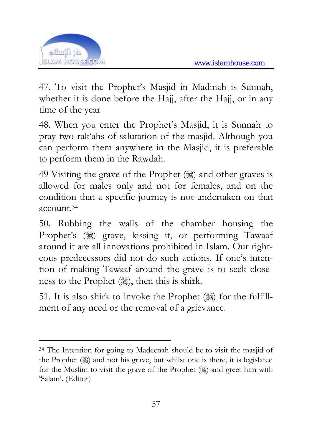

 $\overline{a}$ 

47. To visit the Prophet's Masjid in Madinah is Sunnah, whether it is done before the Hajj, after the Hajj, or in any time of the year

48. When you enter the Prophet's Masjid, it is Sunnah to pray two rak'ahs of salutation of the masjid. Although you can perform them anywhere in the Masjid, it is preferable to perform them in the Rawdah.

49 Visiting the grave of the Prophet  $(\frac{1}{2})$  and other graves is allowed for males only and not for females, and on the condition that a specific journey is not undertaken on that account.34

50. Rubbing the walls of the chamber housing the Prophet's (ﷺ) grave, kissing it, or performing Tawaaf around it are all innovations prohibited in Islam. Our righteous predecessors did not do such actions. If one's intention of making Tawaaf around the grave is to seek closeness to the Prophet  $(\ddot{\ddot{\mathbf{x}}})$ , then this is shirk.

51. It is also shirk to invoke the Prophet  $(\frac{1}{2})$  for the fulfillment of any need or the removal of a grievance.

<sup>34</sup> The Intention for going to Madeenah should be to visit the masjid of the Prophet  $(\frac{1}{2})$  and not his grave, but whilst one is there, it is legislated for the Muslim to visit the grave of the Prophet  $(\frac{1}{2})$  and greet him with 'Salam'. (Editor)